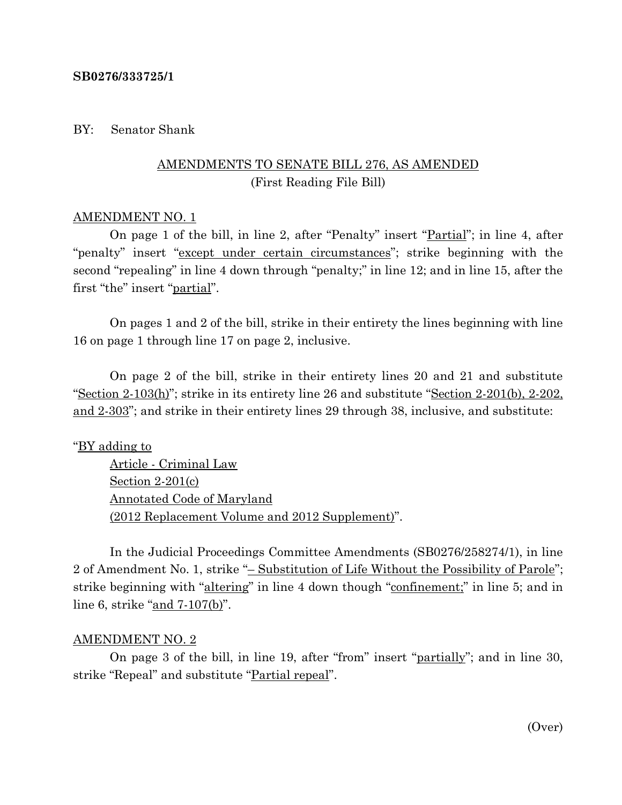#### **SB0276/333725/1**

#### BY: Senator Shank

## AMENDMENTS TO SENATE BILL 276, AS AMENDED (First Reading File Bill)

#### AMENDMENT NO. 1

On page 1 of the bill, in line 2, after "Penalty" insert "Partial"; in line 4, after "penalty" insert "except under certain circumstances"; strike beginning with the second "repealing" in line 4 down through "penalty;" in line 12; and in line 15, after the first "the" insert "partial".

On pages 1 and 2 of the bill, strike in their entirety the lines beginning with line 16 on page 1 through line 17 on page 2, inclusive.

On page 2 of the bill, strike in their entirety lines 20 and 21 and substitute "Section 2-103(h)"; strike in its entirety line 26 and substitute "Section 2-201(b), 2-202, and 2-303"; and strike in their entirety lines 29 through 38, inclusive, and substitute:

#### "BY adding to

Article - Criminal Law Section 2-201(c) Annotated Code of Maryland (2012 Replacement Volume and 2012 Supplement)".

In the Judicial Proceedings Committee Amendments (SB0276/258274/1), in line 2 of Amendment No. 1, strike "– Substitution of Life Without the Possibility of Parole"; strike beginning with "altering" in line 4 down though "confinement;" in line 5; and in line 6, strike "and 7-107(b)".

#### AMENDMENT NO. 2

On page 3 of the bill, in line 19, after "from" insert "partially"; and in line 30, strike "Repeal" and substitute "Partial repeal".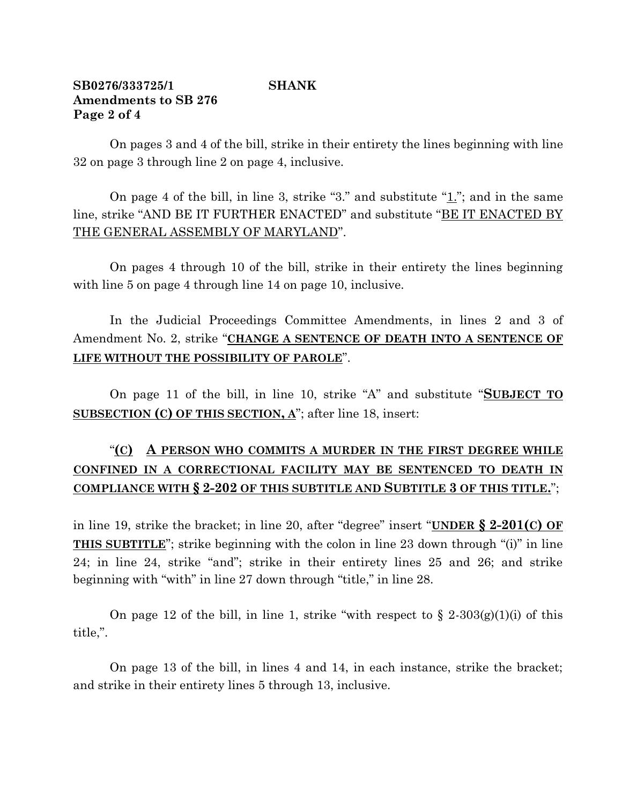## **SB0276/333725/1 SHANK Amendments to SB 276 Page 2 of 4**

On pages 3 and 4 of the bill, strike in their entirety the lines beginning with line 32 on page 3 through line 2 on page 4, inclusive.

On page 4 of the bill, in line 3, strike "3." and substitute " $\underline{1}$ "; and in the same line, strike "AND BE IT FURTHER ENACTED" and substitute "BE IT ENACTED BY THE GENERAL ASSEMBLY OF MARYLAND".

On pages 4 through 10 of the bill, strike in their entirety the lines beginning with line 5 on page 4 through line 14 on page 10, inclusive.

In the Judicial Proceedings Committee Amendments, in lines 2 and 3 of Amendment No. 2, strike "**CHANGE A SENTENCE OF DEATH INTO A SENTENCE OF LIFE WITHOUT THE POSSIBILITY OF PAROLE**".

On page 11 of the bill, in line 10, strike "A" and substitute "**SUBJECT TO SUBSECTION (C) OF THIS SECTION, A**"; after line 18, insert:

# "**(C) A PERSON WHO COMMITS A MURDER IN THE FIRST DEGREE WHILE CONFINED IN A CORRECTIONAL FACILITY MAY BE SENTENCED TO DEATH IN COMPLIANCE WITH § 2-202 OF THIS SUBTITLE AND SUBTITLE 3 OF THIS TITLE.**";

in line 19, strike the bracket; in line 20, after "degree" insert "**UNDER § 2-201(C) OF THIS SUBTITLE**"; strike beginning with the colon in line 23 down through "(i)" in line 24; in line 24, strike "and"; strike in their entirety lines 25 and 26; and strike beginning with "with" in line 27 down through "title," in line 28.

On page 12 of the bill, in line 1, strike "with respect to  $\S 2-303(g)(1)(i)$  of this title,".

On page 13 of the bill, in lines 4 and 14, in each instance, strike the bracket; and strike in their entirety lines 5 through 13, inclusive.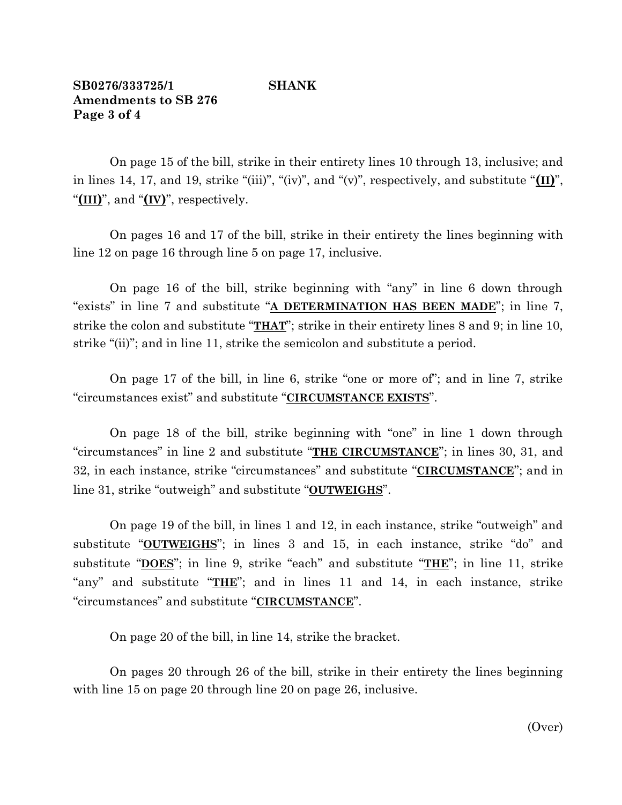## **SB0276/333725/1 SHANK Amendments to SB 276 Page 3 of 4**

On page 15 of the bill, strike in their entirety lines 10 through 13, inclusive; and in lines 14, 17, and 19, strike "(iii)", "(iv)", and "(v)", respectively, and substitute "**(II)**", "**(III)**", and "**(IV)**", respectively.

On pages 16 and 17 of the bill, strike in their entirety the lines beginning with line 12 on page 16 through line 5 on page 17, inclusive.

On page 16 of the bill, strike beginning with "any" in line 6 down through "exists" in line 7 and substitute "**A DETERMINATION HAS BEEN MADE**"; in line 7, strike the colon and substitute "**THAT**"; strike in their entirety lines 8 and 9; in line 10, strike "(ii)"; and in line 11, strike the semicolon and substitute a period.

On page 17 of the bill, in line 6, strike "one or more of"; and in line 7, strike "circumstances exist" and substitute "**CIRCUMSTANCE EXISTS**".

On page 18 of the bill, strike beginning with "one" in line 1 down through "circumstances" in line 2 and substitute "**THE CIRCUMSTANCE**"; in lines 30, 31, and 32, in each instance, strike "circumstances" and substitute "**CIRCUMSTANCE**"; and in line 31, strike "outweigh" and substitute "**OUTWEIGHS**".

On page 19 of the bill, in lines 1 and 12, in each instance, strike "outweigh" and substitute "**OUTWEIGHS**"; in lines 3 and 15, in each instance, strike "do" and substitute "**DOES**"; in line 9, strike "each" and substitute "**THE**"; in line 11, strike "any" and substitute "**THE**"; and in lines 11 and 14, in each instance, strike "circumstances" and substitute "**CIRCUMSTANCE**".

On page 20 of the bill, in line 14, strike the bracket.

On pages 20 through 26 of the bill, strike in their entirety the lines beginning with line 15 on page 20 through line 20 on page 26, inclusive.